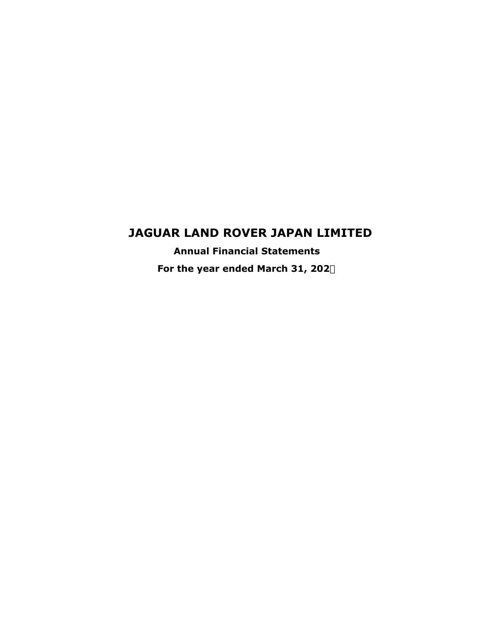## **JAGUAR LAND ROVER JAPAN LIMITED**

**Annual Financial Statements For the year ended March 31, 202**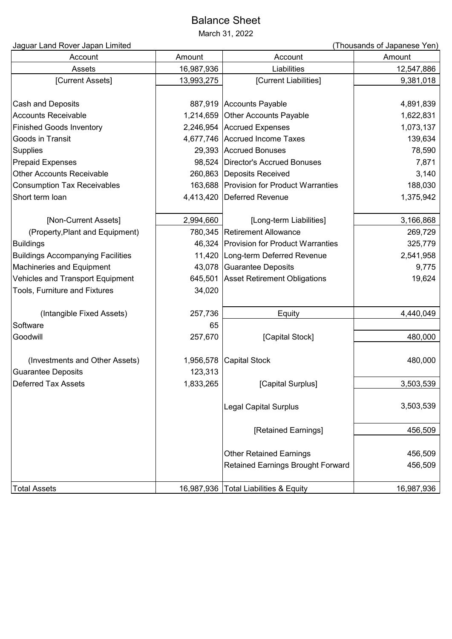# Balance Sheet

March 31, 2022

| Jaguar Land Rover Japan Limited          |            |                                          | (Thousands of Japanese Yen) |
|------------------------------------------|------------|------------------------------------------|-----------------------------|
| Account                                  | Amount     | Account                                  | Amount                      |
| Assets                                   | 16,987,936 | Liabilities                              | 12,547,886                  |
| [Current Assets]                         | 13,993,275 | [Current Liabilities]                    | 9,381,018                   |
| <b>Cash and Deposits</b>                 |            | 887,919 Accounts Payable                 | 4,891,839                   |
| <b>Accounts Receivable</b>               | 1,214,659  | Other Accounts Payable                   | 1,622,831                   |
| <b>Finished Goods Inventory</b>          |            | 2,246,954 Accrued Expenses               | 1,073,137                   |
| Goods in Transit                         |            | 4,677,746 Accrued Income Taxes           | 139,634                     |
| <b>Supplies</b>                          |            | 29,393 Accrued Bonuses                   | 78,590                      |
| <b>Prepaid Expenses</b>                  | 98,524     | Director's Accrued Bonuses               | 7,871                       |
| <b>Other Accounts Receivable</b>         | 260,863    | Deposits Received                        | 3,140                       |
| <b>Consumption Tax Receivables</b>       | 163,688    | <b>Provision for Product Warranties</b>  | 188,030                     |
| Short term loan                          | 4,413,420  | Deferred Revenue                         | 1,375,942                   |
| [Non-Current Assets]                     | 2,994,660  | [Long-term Liabilities]                  | 3,166,868                   |
| (Property, Plant and Equipment)          |            | 780,345 Retirement Allowance             | 269,729                     |
| <b>Buildings</b>                         | 46,324     | <b>Provision for Product Warranties</b>  | 325,779                     |
| <b>Buildings Accompanying Facilities</b> | 11,420     | Long-term Deferred Revenue               | 2,541,958                   |
| <b>Machineries and Equipment</b>         | 43,078     | Guarantee Deposits                       | 9,775                       |
| Vehicles and Transport Equipment         | 645,501    | <b>Asset Retirement Obligations</b>      | 19,624                      |
| Tools, Furniture and Fixtures            | 34,020     |                                          |                             |
| (Intangible Fixed Assets)                | 257,736    | Equity                                   | 4,440,049                   |
| Software                                 | 65         |                                          |                             |
| Goodwill                                 | 257,670    | [Capital Stock]                          | 480,000                     |
| (Investments and Other Assets)           | 1,956,578  | <b>Capital Stock</b>                     | 480,000                     |
| <b>Guarantee Deposits</b>                | 123,313    |                                          |                             |
| <b>Deferred Tax Assets</b>               | 1,833,265  | [Capital Surplus]                        | 3,503,539                   |
|                                          |            | <b>Legal Capital Surplus</b>             | 3,503,539                   |
|                                          |            | [Retained Earnings]                      | 456,509                     |
|                                          |            |                                          |                             |
|                                          |            | <b>Other Retained Earnings</b>           | 456,509                     |
|                                          |            | <b>Retained Earnings Brought Forward</b> | 456,509                     |
| <b>Total Assets</b>                      |            | 16,987,936   Total Liabilities & Equity  | 16,987,936                  |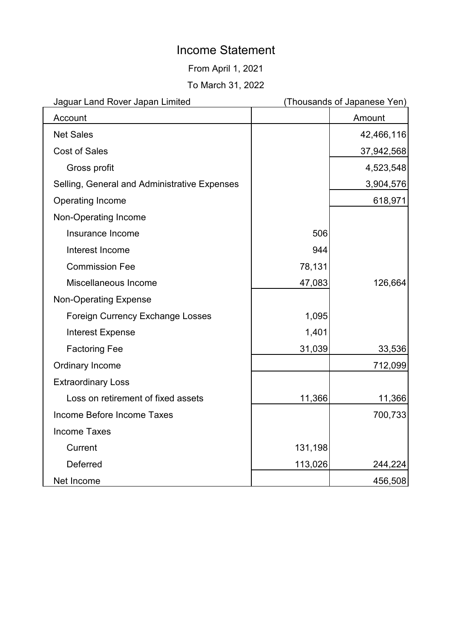# Income Statement

From April 1, 2021

To March 31, 2022

| Jaguar Land Rover Japan Limited              | (Thousands of Japanese Yen) |            |
|----------------------------------------------|-----------------------------|------------|
| Account                                      |                             | Amount     |
| <b>Net Sales</b>                             |                             | 42,466,116 |
| <b>Cost of Sales</b>                         |                             | 37,942,568 |
| Gross profit                                 |                             | 4,523,548  |
| Selling, General and Administrative Expenses |                             | 3,904,576  |
| Operating Income                             |                             | 618,971    |
| Non-Operating Income                         |                             |            |
| Insurance Income                             | 506                         |            |
| Interest Income                              | 944                         |            |
| <b>Commission Fee</b>                        | 78,131                      |            |
| Miscellaneous Income                         | 47,083                      | 126,664    |
| <b>Non-Operating Expense</b>                 |                             |            |
| <b>Foreign Currency Exchange Losses</b>      | 1,095                       |            |
| <b>Interest Expense</b>                      | 1,401                       |            |
| <b>Factoring Fee</b>                         | 31,039                      | 33,536     |
| <b>Ordinary Income</b>                       |                             | 712,099    |
| <b>Extraordinary Loss</b>                    |                             |            |
| Loss on retirement of fixed assets           | 11,366                      | 11,366     |
| Income Before Income Taxes                   |                             | 700,733    |
| <b>Income Taxes</b>                          |                             |            |
| Current                                      | 131,198                     |            |
| <b>Deferred</b>                              | 113,026                     | 244,224    |
| Net Income                                   |                             | 456,508    |